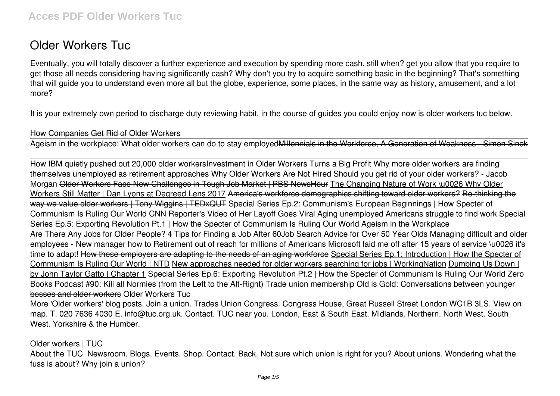# **Older Workers Tuc**

Eventually, you will totally discover a further experience and execution by spending more cash. still when? get you allow that you require to get those all needs considering having significantly cash? Why don't you try to acquire something basic in the beginning? That's something that will guide you to understand even more all but the globe, experience, some places, in the same way as history, amusement, and a lot more?

It is your extremely own period to discharge duty reviewing habit. in the course of guides you could enjoy now is **older workers tuc** below.

#### How Companies Get Rid of Older Workers

Ageism in the workplace: What older workers can do to stay employed Millennials in the Workforce, A Generation of Weakness - Simon Sinek

How IBM quietly pushed out 20,000 older workers**Investment in Older Workers Turns a Big Profit Why more older workers are finding themselves unemployed as retirement approaches** Why Older Workers Are Not Hired Should you get rid of your older workers? - Jacob Morgan Older Workers Face New Challenges in Tough Job Market | PBS NewsHour The Changing Nature of Work \u0026 Why Older Workers Still Matter | Dan Lyons at Degreed Lens 2017 America's workforce demographics shifting toward older workers? Re-thinking the way we value older workers | Tony Wiggins | TEDxQUT Special Series Ep.2: Communism's European Beginnings | How Specter of Communism Is Ruling Our World CNN Reporter's Video of Her Layoff Goes Viral Aging unemployed Americans struggle to find work *Special Series Ep.5: Exporting Revolution Pt.1 | How the Specter of Communism Is Ruling Our World Ageism in the Workplace* Are There Any Jobs for Older People? 4 Tips for Finding a Job After 60*Job Search Advice for Over 50 Year Olds Managing difficult and older employees - New manager how to Retirement out of reach for millions of Americans* Microsoft laid me off after 15 years of service \u0026 it's time to adapt! How these employers are adapting to the needs of an aging workforce Special Series Ep.1: Introduction | How the Specter of Communism Is Ruling Our World | NTD New approaches needed for older workers searching for jobs | WorkingNation Dumbing Us Down | by John Taylor Gatto | Chapter 1 Special Series Ep.6: Exporting Revolution Pt.2 | How the Specter of Communism Is Ruling Our World Zero Books Podcast #90: Kill all Normies (from the Left to the Alt-Right) Trade union membership Old is Gold: Conversations between younger bosses and older workers Older Workers Tuc

More 'Older workers' blog posts. Join a union. Trades Union Congress. Congress House, Great Russell Street London WC1B 3LS. View on map. T. 020 7636 4030 E. info@tuc.org.uk. Contact. TUC near you. London, East & South East. Midlands. Northern. North West. South West. Yorkshire & the Humber.

Older workers | TUC

About the TUC. Newsroom. Blogs. Events. Shop. Contact. Back. Not sure which union is right for you? About unions. Wondering what the fuss is about? Why join a union?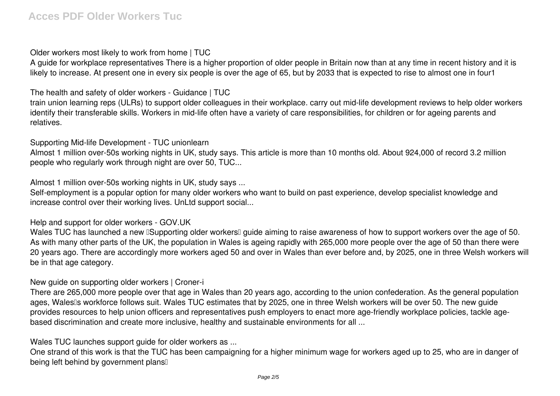Older workers most likely to work from home | TUC

A guide for workplace representatives There is a higher proportion of older people in Britain now than at any time in recent history and it is likely to increase. At present one in every six people is over the age of 65, but by 2033 that is expected to rise to almost one in four1

The health and safety of older workers - Guidance | TUC

train union learning reps (ULRs) to support older colleagues in their workplace. carry out mid-life development reviews to help older workers identify their transferable skills. Workers in mid-life often have a variety of care responsibilities, for children or for ageing parents and relatives.

Supporting Mid-life Development - TUC unionlearn

Almost 1 million over-50s working nights in UK, study says. This article is more than 10 months old. About 924,000 of record 3.2 million people who regularly work through night are over 50, TUC...

Almost 1 million over-50s working nights in UK, study says ...

Self-employment is a popular option for many older workers who want to build on past experience, develop specialist knowledge and increase control over their working lives. UnLtd support social...

Help and support for older workers - GOV.UK

Wales TUC has launched a new ISupporting older workersI guide aiming to raise awareness of how to support workers over the age of 50. As with many other parts of the UK, the population in Wales is ageing rapidly with 265,000 more people over the age of 50 than there were 20 years ago. There are accordingly more workers aged 50 and over in Wales than ever before and, by 2025, one in three Welsh workers will be in that age category.

New guide on supporting older workers | Croner-i

There are 265,000 more people over that age in Wales than 20 years ago, according to the union confederation. As the general population ages, Wales<sup>®</sup>s workforce follows suit. Wales TUC estimates that by 2025, one in three Welsh workers will be over 50. The new guide provides resources to help union officers and representatives push employers to enact more age-friendly workplace policies, tackle agebased discrimination and create more inclusive, healthy and sustainable environments for all ...

Wales TUC launches support guide for older workers as ...

One strand of this work is that the TUC has been campaigning for a higher minimum wage for workers aged up to 25, who are in danger of being left behind by government plans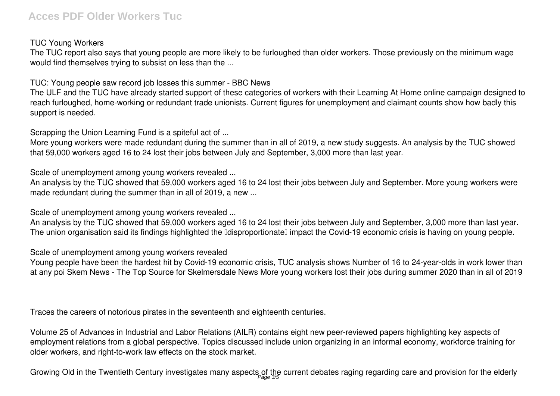## **Acces PDF Older Workers Tuc**

### TUC Young Workers

The TUC report also says that young people are more likely to be furloughed than older workers. Those previously on the minimum wage would find themselves trying to subsist on less than the ...

TUC: Young people saw record job losses this summer - BBC News

The ULF and the TUC have already started support of these categories of workers with their Learning At Home online campaign designed to reach furloughed, home-working or redundant trade unionists. Current figures for unemployment and claimant counts show how badly this support is needed.

Scrapping the Union Learning Fund is a spiteful act of ...

More young workers were made redundant during the summer than in all of 2019, a new study suggests. An analysis by the TUC showed that 59,000 workers aged 16 to 24 lost their jobs between July and September, 3,000 more than last year.

Scale of unemployment among young workers revealed ...

An analysis by the TUC showed that 59,000 workers aged 16 to 24 lost their jobs between July and September. More young workers were made redundant during the summer than in all of 2019, a new ...

Scale of unemployment among young workers revealed ...

An analysis by the TUC showed that 59,000 workers aged 16 to 24 lost their jobs between July and September, 3,000 more than last year. The union organisation said its findings highlighted the **Delisproportionate** impact the Covid-19 economic crisis is having on young people.

Scale of unemployment among young workers revealed

Young people have been the hardest hit by Covid-19 economic crisis, TUC analysis shows Number of 16 to 24-year-olds in work lower than at any poi Skem News - The Top Source for Skelmersdale News More young workers lost their jobs during summer 2020 than in all of 2019

Traces the careers of notorious pirates in the seventeenth and eighteenth centuries.

Volume 25 of Advances in Industrial and Labor Relations (AILR) contains eight new peer-reviewed papers highlighting key aspects of employment relations from a global perspective. Topics discussed include union organizing in an informal economy, workforce training for older workers, and right-to-work law effects on the stock market.

Growing Old in the Twentieth Century investigates many aspects of the current debates raging regarding care and provision for the elderly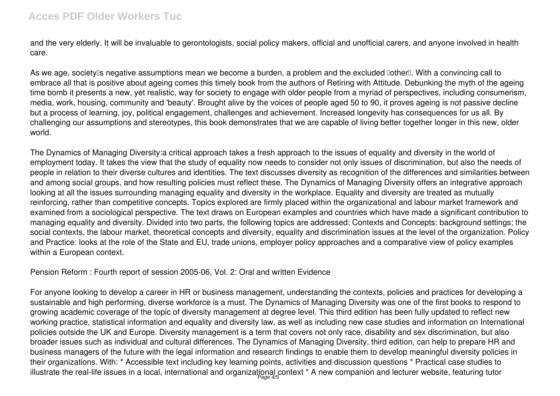### **Acces PDF Older Workers Tuc**

and the very elderly. It will be invaluable to gerontologists, social policy makers, official and unofficial carers, and anyone involved in health care.

As we age, society<sup>n</sup>s negative assumptions mean we become a burden, a problem and the excluded nothern. With a convincing call to embrace all that is positive about ageing comes this timely book from the authors of Retiring with Attitude. Debunking the myth of the ageing time bomb it presents a new, yet realistic, way for society to engage with older people from a myriad of perspectives, including consumerism, media, work, housing, community and 'beauty'. Brought alive by the voices of people aged 50 to 90, it proves ageing is not passive decline but a process of learning, joy, political engagement, challenges and achievement. Increased longevity has consequences for us all. By challenging our assumptions and stereotypes, this book demonstrates that we are capable of living better together longer in this new, older world.

The Dynamics of Managing Diversity:a critical approach takes a fresh approach to the issues of equality and diversity in the world of employment today. It takes the view that the study of equality now needs to consider not only issues of discrimination, but also the needs of people in relation to their diverse cultures and identities. The text discusses diversity as recognition of the differences and similarities between and among social groups, and how resulting policies must reflect these. The Dynamics of Managing Diversity offers an integrative approach looking at all the issues surrounding managing equality and diversity in the workplace. Equality and diversity are treated as mutually reinforcing, rather than competitive concepts. Topics explored are firmly placed within the organizational and labour market framework and examined from a sociological perspective. The text draws on European examples and countries which have made a significant contribution to managing equality and diversity. Divided into two parts, the following topics are addressed: Contexts and Concepts: background settings; the social contexts, the labour market, theoretical concepts and diversity, equality and discrimination issues at the level of the organization. Policy and Practice: looks at the role of the State and EU, trade unions, employer policy approaches and a comparative view of policy examples within a European context.

Pension Reform : Fourth report of session 2005-06, Vol. 2: Oral and written Evidence

For anyone looking to develop a career in HR or business management, understanding the contexts, policies and practices for developing a sustainable and high performing, diverse workforce is a must. The Dynamics of Managing Diversity was one of the first books to respond to growing academic coverage of the topic of diversity management at degree level. This third edition has been fully updated to reflect new working practice, statistical information and equality and diversity law, as well as including new case studies and information on International policies outside the UK and Europe. Diversity management is a term that covers not only race, disability and sex discrimination, but also broader issues such as individual and cultural differences. The Dynamics of Managing Diversity, third edition, can help to prepare HR and business managers of the future with the legal information and research findings to enable them to develop meaningful diversity policies in their organizations. With: \* Accessible text including key learning points, activities and discussion questions \* Practical case studies to illustrate the real-life issues in a local, international and organizational context \* A new companion and lecturer website, featuring tutor